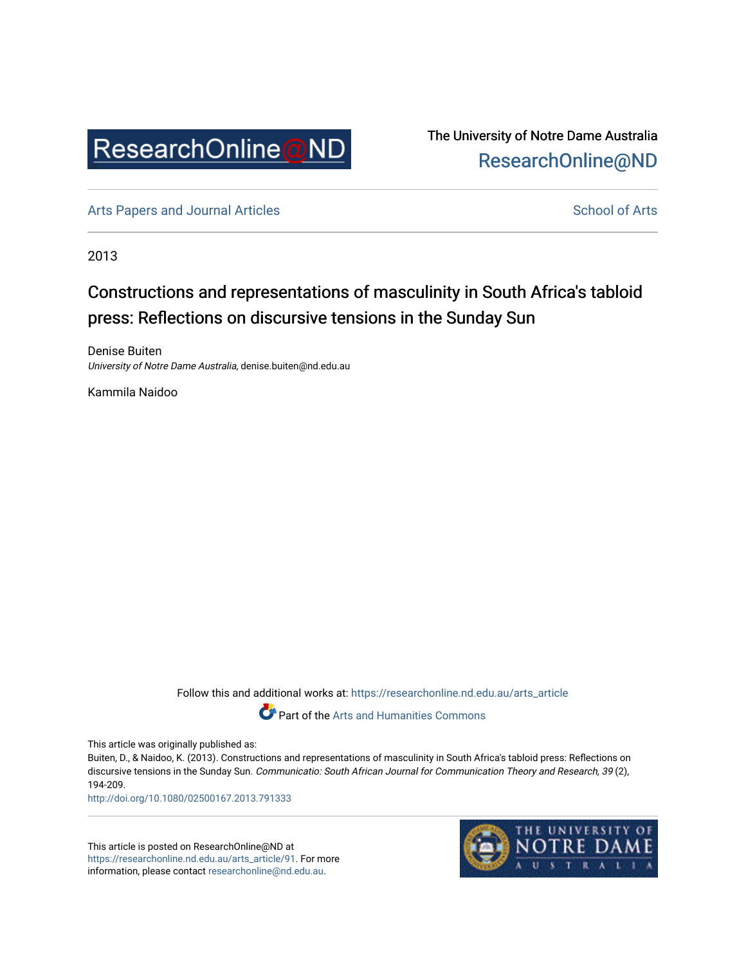

The University of Notre Dame Australia [ResearchOnline@ND](https://researchonline.nd.edu.au/) 

[Arts Papers and Journal Articles](https://researchonline.nd.edu.au/arts_article) and [School of Arts](https://researchonline.nd.edu.au/arts) School of Arts

2013

# Constructions and representations of masculinity in South Africa's tabloid press: Reflections on discursive tensions in the Sunday Sun

Denise Buiten University of Notre Dame Australia, denise.buiten@nd.edu.au

Kammila Naidoo

Follow this and additional works at: [https://researchonline.nd.edu.au/arts\\_article](https://researchonline.nd.edu.au/arts_article?utm_source=researchonline.nd.edu.au%2Farts_article%2F91&utm_medium=PDF&utm_campaign=PDFCoverPages) 



Part of the [Arts and Humanities Commons](http://network.bepress.com/hgg/discipline/438?utm_source=researchonline.nd.edu.au%2Farts_article%2F91&utm_medium=PDF&utm_campaign=PDFCoverPages) 

This article was originally published as:

Buiten, D., & Naidoo, K. (2013). Constructions and representations of masculinity in South Africa's tabloid press: Reflections on discursive tensions in the Sunday Sun. Communicatio: South African Journal for Communication Theory and Research, 39 (2), 194-209.

<http://doi.org/10.1080/02500167.2013.791333>

This article is posted on ResearchOnline@ND at [https://researchonline.nd.edu.au/arts\\_article/91.](https://researchonline.nd.edu.au/arts_article/91) For more information, please contact [researchonline@nd.edu.au.](mailto:researchonline@nd.edu.au)

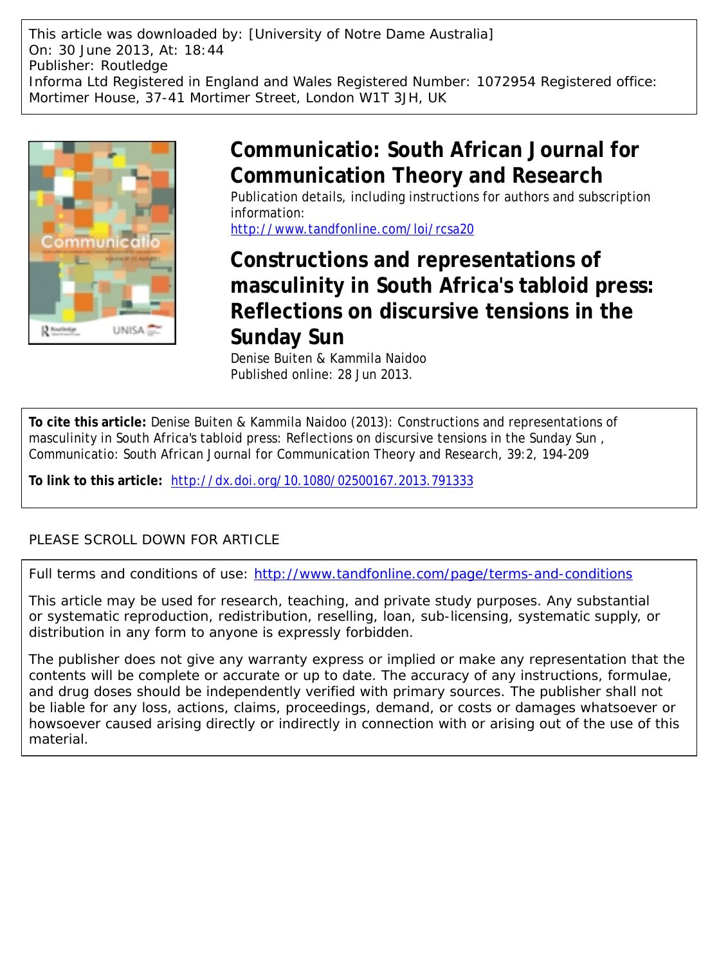This article was downloaded by: [University of Notre Dame Australia] On: 30 June 2013, At: 18:44 Publisher: Routledge Informa Ltd Registered in England and Wales Registered Number: 1072954 Registered office: Mortimer House, 37-41 Mortimer Street, London W1T 3JH, UK



# **Communicatio: South African Journal for Communication Theory and Research**

Publication details, including instructions for authors and subscription information:

<http://www.tandfonline.com/loi/rcsa20>

# **Constructions and representations of masculinity in South Africa's tabloid press: Reflections on discursive tensions in the Sunday Sun**

Denise Buiten & Kammila Naidoo Published online: 28 Jun 2013.

**To cite this article:** Denise Buiten & Kammila Naidoo (2013): Constructions and representations of masculinity in South Africa's tabloid press: Reflections on discursive tensions in the Sunday Sun , Communicatio: South African Journal for Communication Theory and Research, 39:2, 194-209

**To link to this article:** <http://dx.doi.org/10.1080/02500167.2013.791333>

# PLEASE SCROLL DOWN FOR ARTICLE

Full terms and conditions of use:<http://www.tandfonline.com/page/terms-and-conditions>

This article may be used for research, teaching, and private study purposes. Any substantial or systematic reproduction, redistribution, reselling, loan, sub-licensing, systematic supply, or distribution in any form to anyone is expressly forbidden.

The publisher does not give any warranty express or implied or make any representation that the contents will be complete or accurate or up to date. The accuracy of any instructions, formulae, and drug doses should be independently verified with primary sources. The publisher shall not be liable for any loss, actions, claims, proceedings, demand, or costs or damages whatsoever or howsoever caused arising directly or indirectly in connection with or arising out of the use of this material.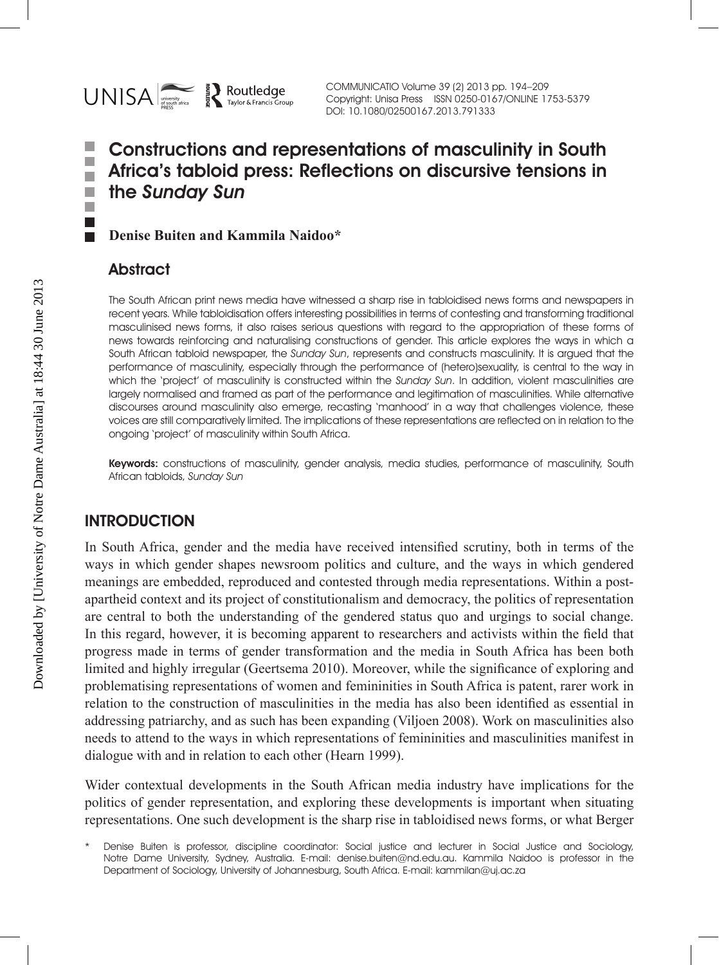

COMMUNICATIO Volume 39 (2) 2013 pp. 194–209 Copyright: Unisa Press ISSN 0250-0167/ONLINE 1753-5379 DOI: 10.1080/02500167.2013.791333

#### Constructions and representations of masculinity in South ٠ П Africa's tabloid press: Reflections on discursive tensions in п the Sunday Sun п п

**Denise Buiten and Kammila Naidoo\***

# **Abstract**

. .  $\overline{\phantom{a}}$ 

> The South African print news media have witnessed a sharp rise in tabloidised news forms and newspapers in recent years. While tabloidisation offers interesting possibilities in terms of contesting and transforming traditional masculinised news forms, it also raises serious questions with regard to the appropriation of these forms of news towards reinforcing and naturalising constructions of gender. This article explores the ways in which a South African tabloid newspaper, the Sunday Sun, represents and constructs masculinity. It is argued that the performance of masculinity, especially through the performance of (hetero)sexuality, is central to the way in which the 'project' of masculinity is constructed within the Sunday Sun. In addition, violent masculinities are largely normalised and framed as part of the performance and legitimation of masculinities. While alternative discourses around masculinity also emerge, recasting 'manhood' in a way that challenges violence, these voices are still comparatively limited. The implications of these representations are reflected on in relation to the ongoing 'project' of masculinity within South Africa.

> Keywords: constructions of masculinity, gender analysis, media studies, performance of masculinity, South African tabloids, Sunday Sun

## **INTRODUCTION**

In South Africa, gender and the media have received intensified scrutiny, both in terms of the ways in which gender shapes newsroom politics and culture, and the ways in which gendered meanings are embedded, reproduced and contested through media representations. Within a postapartheid context and its project of constitutionalism and democracy, the politics of representation are central to both the understanding of the gendered status quo and urgings to social change. In this regard, however, it is becoming apparent to researchers and activists within the field that progress made in terms of gender transformation and the media in South Africa has been both limited and highly irregular (Geertsema 2010). Moreover, while the significance of exploring and problematising representations of women and femininities in South Africa is patent, rarer work in relation to the construction of masculinities in the media has also been identified as essential in addressing patriarchy, and as such has been expanding (Viljoen 2008). Work on masculinities also needs to attend to the ways in which representations of femininities and masculinities manifest in dialogue with and in relation to each other (Hearn 1999).

Wider contextual developments in the South African media industry have implications for the politics of gender representation, and exploring these developments is important when situating representations. One such development is the sharp rise in tabloidised news forms, or what Berger

Denise Buiten is professor, discipline coordinator: Social justice and lecturer in Social Justice and Sociology, Notre Dame University, Sydney, Australia. E-mail: denise.buiten@nd.edu.au. Kammila Naidoo is professor in the Department of Sociology, University of Johannesburg, South Africa. E-mail: kammilan@uj.ac.za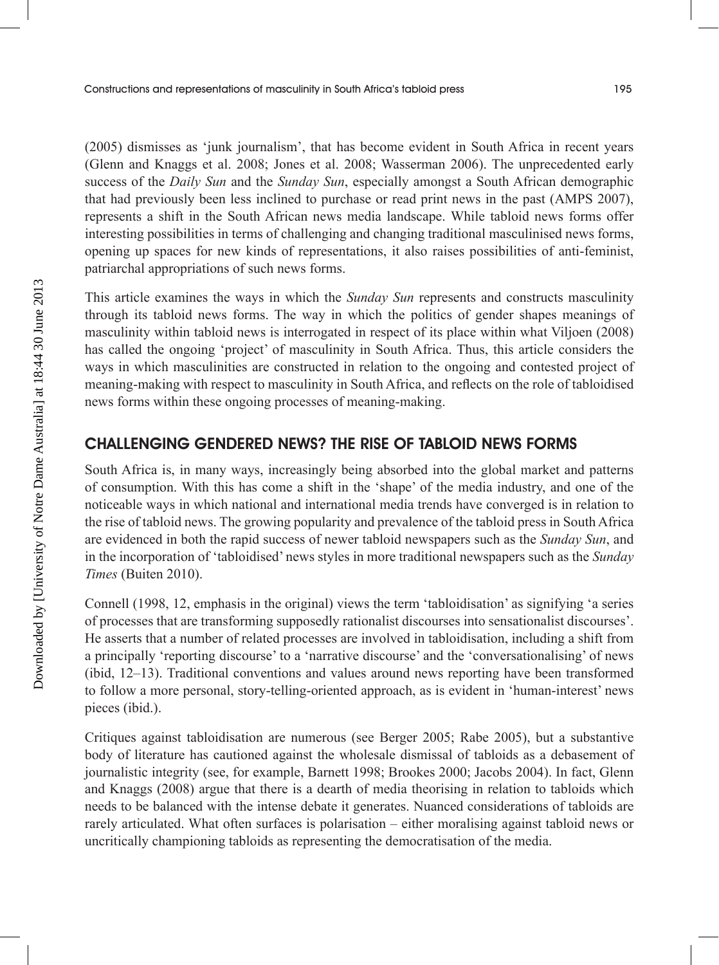(2005) dismisses as 'junk journalism', that has become evident in South Africa in recent years (Glenn and Knaggs et al. 2008; Jones et al. 2008; Wasserman 2006). The unprecedented early success of the *Daily Sun* and the *Sunday Sun*, especially amongst a South African demographic that had previously been less inclined to purchase or read print news in the past (AMPS 2007), represents a shift in the South African news media landscape. While tabloid news forms offer interesting possibilities in terms of challenging and changing traditional masculinised news forms, opening up spaces for new kinds of representations, it also raises possibilities of anti-feminist, patriarchal appropriations of such news forms.

This article examines the ways in which the *Sunday Sun* represents and constructs masculinity through its tabloid news forms. The way in which the politics of gender shapes meanings of masculinity within tabloid news is interrogated in respect of its place within what Viljoen (2008) has called the ongoing 'project' of masculinity in South Africa. Thus, this article considers the ways in which masculinities are constructed in relation to the ongoing and contested project of meaning-making with respect to masculinity in South Africa, and reflects on the role of tabloidised news forms within these ongoing processes of meaning-making.

### CHALLENGING GENDERED NEWS? THE RISE OF TABLOID NEWS FORMS

South Africa is, in many ways, increasingly being absorbed into the global market and patterns of consumption. With this has come a shift in the 'shape' of the media industry, and one of the noticeable ways in which national and international media trends have converged is in relation to the rise of tabloid news. The growing popularity and prevalence of the tabloid press in South Africa are evidenced in both the rapid success of newer tabloid newspapers such as the *Sunday Sun*, and in the incorporation of 'tabloidised' news styles in more traditional newspapers such as the *Sunday Times* (Buiten 2010).

Connell (1998, 12, emphasis in the original) views the term 'tabloidisation' as signifying 'a series of processes that are transforming supposedly rationalist discourses into sensationalist discourses'. He asserts that a number of related processes are involved in tabloidisation, including a shift from a principally 'reporting discourse' to a 'narrative discourse' and the 'conversationalising' of news (ibid, 12–13). Traditional conventions and values around news reporting have been transformed to follow a more personal, story-telling-oriented approach, as is evident in 'human-interest' news pieces (ibid.).

Critiques against tabloidisation are numerous (see Berger 2005; Rabe 2005), but a substantive body of literature has cautioned against the wholesale dismissal of tabloids as a debasement of journalistic integrity (see, for example, Barnett 1998; Brookes 2000; Jacobs 2004). In fact, Glenn and Knaggs (2008) argue that there is a dearth of media theorising in relation to tabloids which needs to be balanced with the intense debate it generates. Nuanced considerations of tabloids are rarely articulated. What often surfaces is polarisation – either moralising against tabloid news or uncritically championing tabloids as representing the democratisation of the media.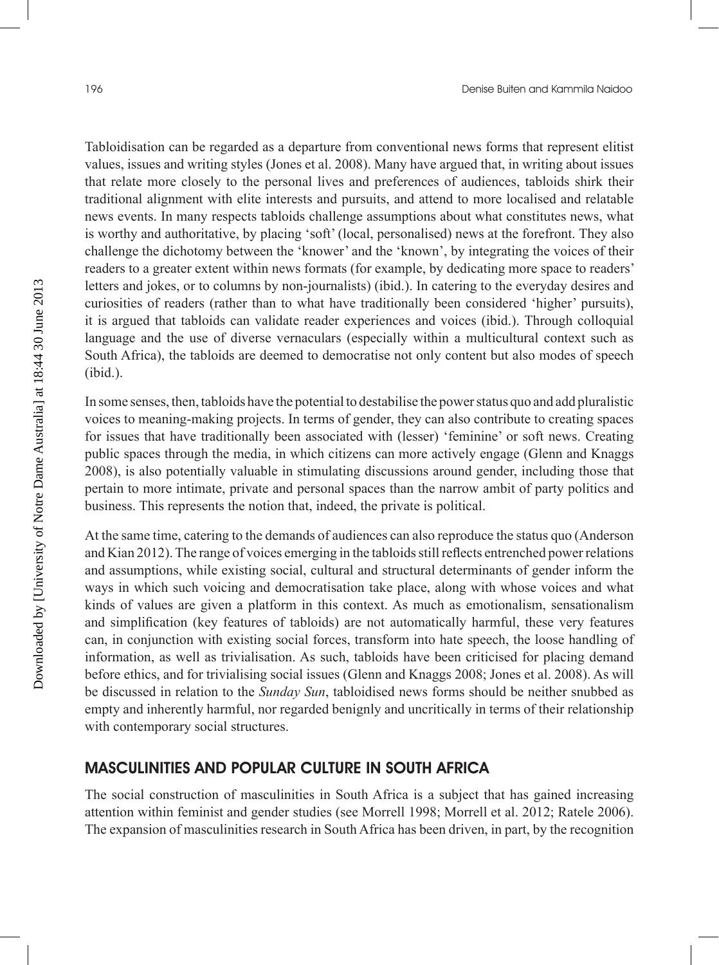Tabloidisation can be regarded as a departure from conventional news forms that represent elitist values, issues and writing styles (Jones et al. 2008). Many have argued that, in writing about issues that relate more closely to the personal lives and preferences of audiences, tabloids shirk their traditional alignment with elite interests and pursuits, and attend to more localised and relatable news events. In many respects tabloids challenge assumptions about what constitutes news, what is worthy and authoritative, by placing 'soft' (local, personalised) news at the forefront. They also challenge the dichotomy between the 'knower' and the 'known', by integrating the voices of their readers to a greater extent within news formats (for example, by dedicating more space to readers' letters and jokes, or to columns by non-journalists) (ibid.). In catering to the everyday desires and curiosities of readers (rather than to what have traditionally been considered 'higher' pursuits), it is argued that tabloids can validate reader experiences and voices (ibid.). Through colloquial language and the use of diverse vernaculars (especially within a multicultural context such as South Africa), the tabloids are deemed to democratise not only content but also modes of speech (ibid.).

In some senses, then, tabloids have the potential to destabilise the power status quo and add pluralistic voices to meaning-making projects. In terms of gender, they can also contribute to creating spaces for issues that have traditionally been associated with (lesser) 'feminine' or soft news. Creating public spaces through the media, in which citizens can more actively engage (Glenn and Knaggs 2008), is also potentially valuable in stimulating discussions around gender, including those that pertain to more intimate, private and personal spaces than the narrow ambit of party politics and business. This represents the notion that, indeed, the private is political.

At the same time, catering to the demands of audiences can also reproduce the status quo (Anderson and Kian 2012). The range of voices emerging in the tabloids still reflects entrenched power relations and assumptions, while existing social, cultural and structural determinants of gender inform the ways in which such voicing and democratisation take place, along with whose voices and what kinds of values are given a platform in this context. As much as emotionalism, sensationalism and simplification (key features of tabloids) are not automatically harmful, these very features can, in conjunction with existing social forces, transform into hate speech, the loose handling of information, as well as trivialisation. As such, tabloids have been criticised for placing demand before ethics, and for trivialising social issues (Glenn and Knaggs 2008; Jones et al. 2008). As will be discussed in relation to the *Sunday Sun*, tabloidised news forms should be neither snubbed as empty and inherently harmful, nor regarded benignly and uncritically in terms of their relationship with contemporary social structures.

#### MASCULINITIES AND POPULAR CULTURE IN SOUTH AFRICA

The social construction of masculinities in South Africa is a subject that has gained increasing attention within feminist and gender studies (see Morrell 1998; Morrell et al. 2012; Ratele 2006). The expansion of masculinities research in South Africa has been driven, in part, by the recognition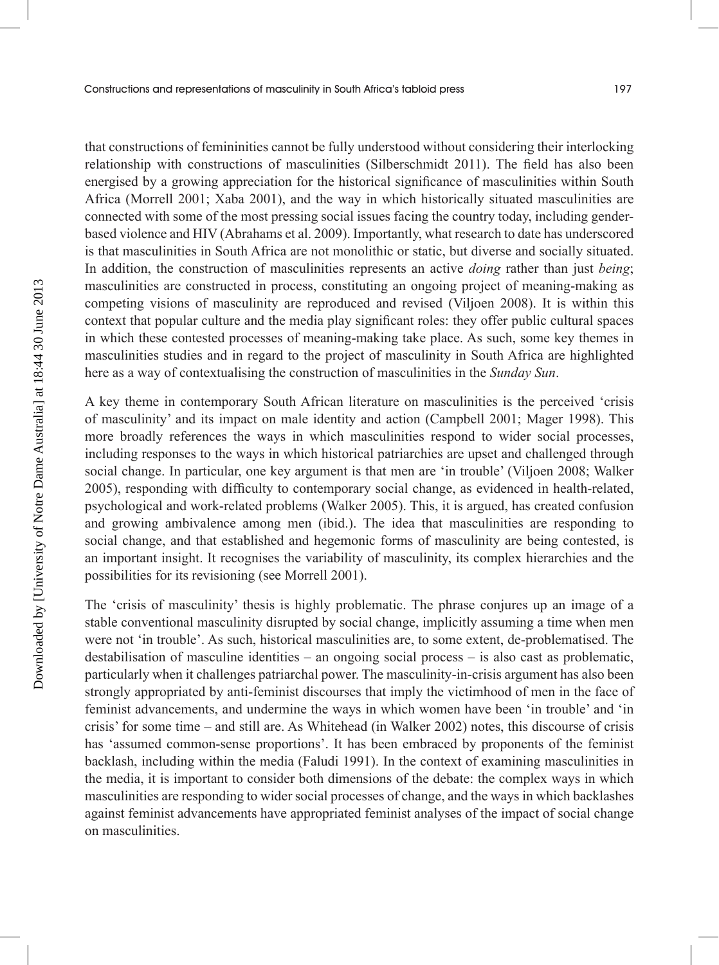that constructions of femininities cannot be fully understood without considering their interlocking relationship with constructions of masculinities (Silberschmidt 2011). The field has also been energised by a growing appreciation for the historical significance of masculinities within South Africa (Morrell 2001; Xaba 2001), and the way in which historically situated masculinities are connected with some of the most pressing social issues facing the country today, including genderbased violence and HIV (Abrahams et al. 2009). Importantly, what research to date has underscored is that masculinities in South Africa are not monolithic or static, but diverse and socially situated. In addition, the construction of masculinities represents an active *doing* rather than just *being*; masculinities are constructed in process, constituting an ongoing project of meaning-making as competing visions of masculinity are reproduced and revised (Viljoen 2008). It is within this context that popular culture and the media play significant roles: they offer public cultural spaces in which these contested processes of meaning-making take place. As such, some key themes in masculinities studies and in regard to the project of masculinity in South Africa are highlighted here as a way of contextualising the construction of masculinities in the *Sunday Sun*.

A key theme in contemporary South African literature on masculinities is the perceived 'crisis of masculinity' and its impact on male identity and action (Campbell 2001; Mager 1998). This more broadly references the ways in which masculinities respond to wider social processes, including responses to the ways in which historical patriarchies are upset and challenged through social change. In particular, one key argument is that men are 'in trouble' (Viljoen 2008; Walker 2005), responding with difficulty to contemporary social change, as evidenced in health-related, psychological and work-related problems (Walker 2005). This, it is argued, has created confusion and growing ambivalence among men (ibid.). The idea that masculinities are responding to social change, and that established and hegemonic forms of masculinity are being contested, is an important insight. It recognises the variability of masculinity, its complex hierarchies and the possibilities for its revisioning (see Morrell 2001).

The 'crisis of masculinity' thesis is highly problematic. The phrase conjures up an image of a stable conventional masculinity disrupted by social change, implicitly assuming a time when men were not 'in trouble'. As such, historical masculinities are, to some extent, de-problematised. The destabilisation of masculine identities – an ongoing social process – is also cast as problematic, particularly when it challenges patriarchal power. The masculinity-in-crisis argument has also been strongly appropriated by anti-feminist discourses that imply the victimhood of men in the face of feminist advancements, and undermine the ways in which women have been 'in trouble' and 'in crisis' for some time – and still are. As Whitehead (in Walker 2002) notes, this discourse of crisis has 'assumed common-sense proportions'. It has been embraced by proponents of the feminist backlash, including within the media (Faludi 1991). In the context of examining masculinities in the media, it is important to consider both dimensions of the debate: the complex ways in which masculinities are responding to wider social processes of change, and the ways in which backlashes against feminist advancements have appropriated feminist analyses of the impact of social change on masculinities.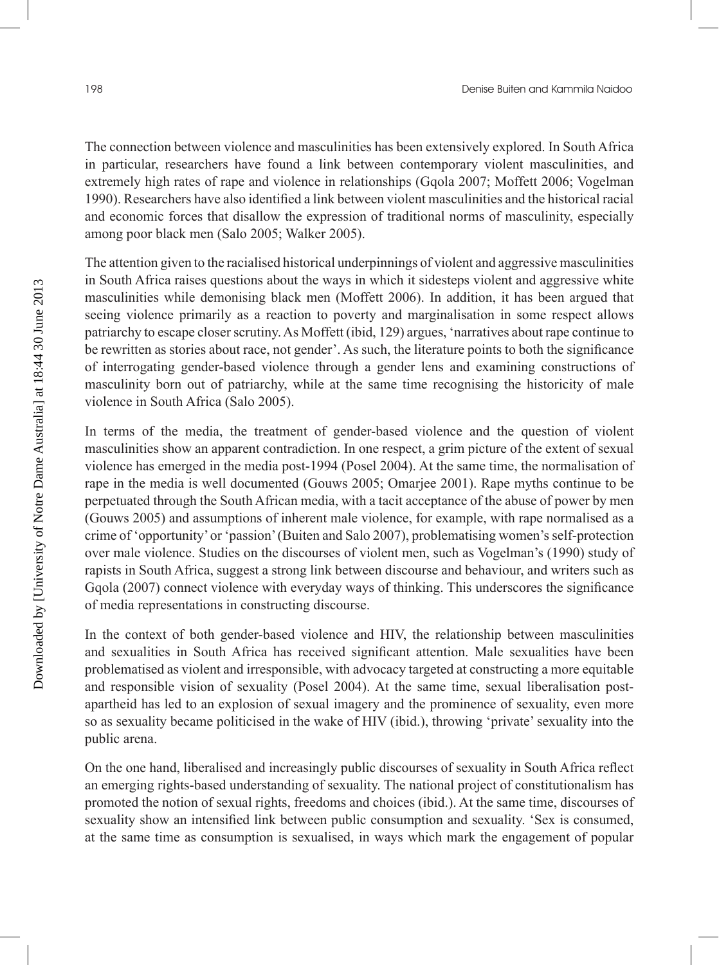The connection between violence and masculinities has been extensively explored. In South Africa in particular, researchers have found a link between contemporary violent masculinities, and extremely high rates of rape and violence in relationships (Gqola 2007; Moffett 2006; Vogelman 1990). Researchers have also identified a link between violent masculinities and the historical racial and economic forces that disallow the expression of traditional norms of masculinity, especially among poor black men (Salo 2005; Walker 2005).

The attention given to the racialised historical underpinnings of violent and aggressive masculinities in South Africa raises questions about the ways in which it sidesteps violent and aggressive white masculinities while demonising black men (Moffett 2006). In addition, it has been argued that seeing violence primarily as a reaction to poverty and marginalisation in some respect allows patriarchy to escape closer scrutiny. As Moffett (ibid, 129) argues, 'narratives about rape continue to be rewritten as stories about race, not gender'. As such, the literature points to both the significance of interrogating gender-based violence through a gender lens and examining constructions of masculinity born out of patriarchy, while at the same time recognising the historicity of male violence in South Africa (Salo 2005).

In terms of the media, the treatment of gender-based violence and the question of violent masculinities show an apparent contradiction. In one respect, a grim picture of the extent of sexual violence has emerged in the media post-1994 (Posel 2004). At the same time, the normalisation of rape in the media is well documented (Gouws 2005; Omarjee 2001). Rape myths continue to be perpetuated through the South African media, with a tacit acceptance of the abuse of power by men (Gouws 2005) and assumptions of inherent male violence, for example, with rape normalised as a crime of 'opportunity' or 'passion' (Buiten and Salo 2007), problematising women's self-protection over male violence. Studies on the discourses of violent men, such as Vogelman's (1990) study of rapists in South Africa, suggest a strong link between discourse and behaviour, and writers such as Gqola (2007) connect violence with everyday ways of thinking. This underscores the significance of media representations in constructing discourse.

In the context of both gender-based violence and HIV, the relationship between masculinities and sexualities in South Africa has received significant attention. Male sexualities have been problematised as violent and irresponsible, with advocacy targeted at constructing a more equitable and responsible vision of sexuality (Posel 2004). At the same time, sexual liberalisation postapartheid has led to an explosion of sexual imagery and the prominence of sexuality, even more so as sexuality became politicised in the wake of HIV (ibid.), throwing 'private' sexuality into the public arena.

On the one hand, liberalised and increasingly public discourses of sexuality in South Africa reflect an emerging rights-based understanding of sexuality. The national project of constitutionalism has promoted the notion of sexual rights, freedoms and choices (ibid.). At the same time, discourses of sexuality show an intensified link between public consumption and sexuality. 'Sex is consumed, at the same time as consumption is sexualised, in ways which mark the engagement of popular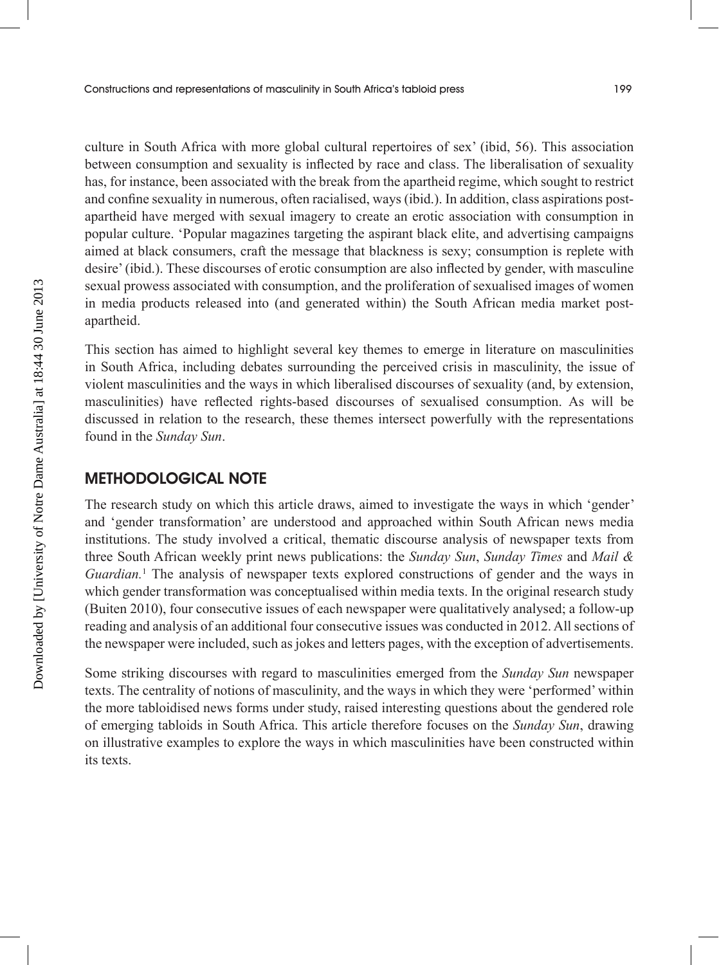culture in South Africa with more global cultural repertoires of sex' (ibid, 56). This association between consumption and sexuality is inflected by race and class. The liberalisation of sexuality has, for instance, been associated with the break from the apartheid regime, which sought to restrict and confine sexuality in numerous, often racialised, ways (ibid.). In addition, class aspirations postapartheid have merged with sexual imagery to create an erotic association with consumption in popular culture. 'Popular magazines targeting the aspirant black elite, and advertising campaigns aimed at black consumers, craft the message that blackness is sexy; consumption is replete with desire' (ibid.). These discourses of erotic consumption are also inflected by gender, with masculine sexual prowess associated with consumption, and the proliferation of sexualised images of women in media products released into (and generated within) the South African media market postapartheid.

This section has aimed to highlight several key themes to emerge in literature on masculinities in South Africa, including debates surrounding the perceived crisis in masculinity, the issue of violent masculinities and the ways in which liberalised discourses of sexuality (and, by extension, masculinities) have reflected rights-based discourses of sexualised consumption. As will be discussed in relation to the research, these themes intersect powerfully with the representations found in the *Sunday Sun*.

#### METHODOLOGICAL NOTE

The research study on which this article draws, aimed to investigate the ways in which 'gender' and 'gender transformation' are understood and approached within South African news media institutions. The study involved a critical, thematic discourse analysis of newspaper texts from three South African weekly print news publications: the *Sunday Sun*, *Sunday Times* and *Mail & Guardian.*<sup>1</sup> The analysis of newspaper texts explored constructions of gender and the ways in which gender transformation was conceptualised within media texts. In the original research study (Buiten 2010), four consecutive issues of each newspaper were qualitatively analysed; a follow-up reading and analysis of an additional four consecutive issues was conducted in 2012. All sections of the newspaper were included, such as jokes and letters pages, with the exception of advertisements.

Some striking discourses with regard to masculinities emerged from the *Sunday Sun* newspaper texts. The centrality of notions of masculinity, and the ways in which they were 'performed' within the more tabloidised news forms under study, raised interesting questions about the gendered role of emerging tabloids in South Africa. This article therefore focuses on the *Sunday Sun*, drawing on illustrative examples to explore the ways in which masculinities have been constructed within its texts.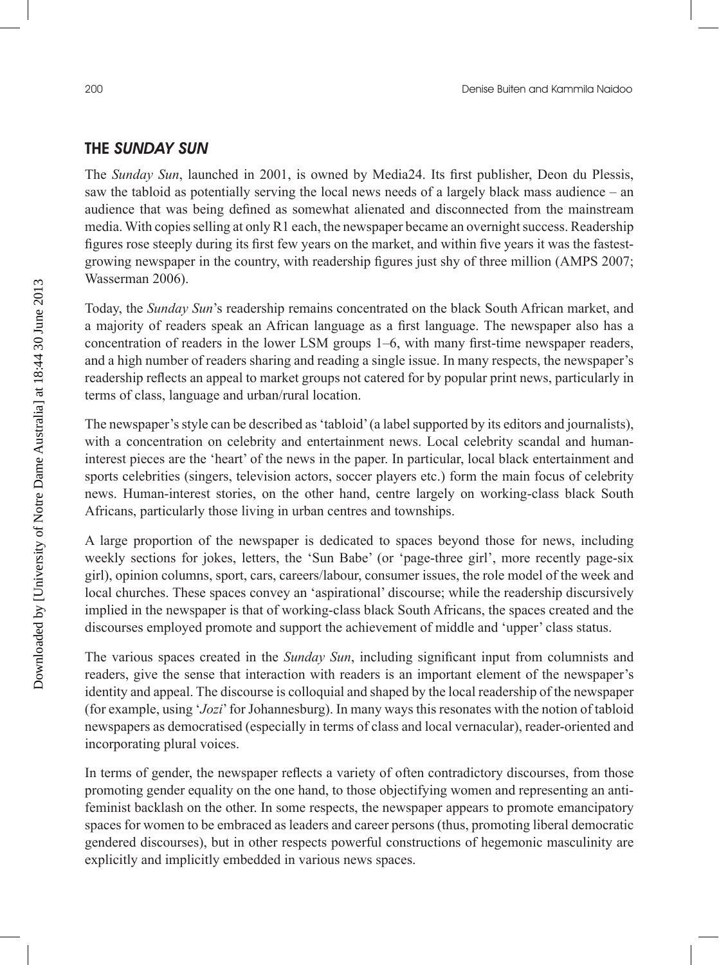### THE SUNDAY SUN

The *Sunday Sun*, launched in 2001, is owned by Media24. Its first publisher, Deon du Plessis, saw the tabloid as potentially serving the local news needs of a largely black mass audience – an audience that was being defined as somewhat alienated and disconnected from the mainstream media. With copies selling at only R1 each, the newspaper became an overnight success. Readership figures rose steeply during its first few years on the market, and within five years it was the fastestgrowing newspaper in the country, with readership figures just shy of three million (AMPS 2007; Wasserman 2006).

Today, the *Sunday Sun*'s readership remains concentrated on the black South African market, and a majority of readers speak an African language as a first language. The newspaper also has a concentration of readers in the lower LSM groups 1–6, with many first-time newspaper readers, and a high number of readers sharing and reading a single issue. In many respects, the newspaper's readership reflects an appeal to market groups not catered for by popular print news, particularly in terms of class, language and urban/rural location.

The newspaper's style can be described as 'tabloid' (a label supported by its editors and journalists), with a concentration on celebrity and entertainment news. Local celebrity scandal and humaninterest pieces are the 'heart' of the news in the paper. In particular, local black entertainment and sports celebrities (singers, television actors, soccer players etc.) form the main focus of celebrity news. Human-interest stories, on the other hand, centre largely on working-class black South Africans, particularly those living in urban centres and townships.

A large proportion of the newspaper is dedicated to spaces beyond those for news, including weekly sections for jokes, letters, the 'Sun Babe' (or 'page-three girl', more recently page-six girl), opinion columns, sport, cars, careers/labour, consumer issues, the role model of the week and local churches. These spaces convey an 'aspirational' discourse; while the readership discursively implied in the newspaper is that of working-class black South Africans, the spaces created and the discourses employed promote and support the achievement of middle and 'upper' class status.

The various spaces created in the *Sunday Sun*, including significant input from columnists and readers, give the sense that interaction with readers is an important element of the newspaper's identity and appeal. The discourse is colloquial and shaped by the local readership of the newspaper (for example, using '*Jozi*' for Johannesburg). In many ways this resonates with the notion of tabloid newspapers as democratised (especially in terms of class and local vernacular), reader-oriented and incorporating plural voices.

In terms of gender, the newspaper reflects a variety of often contradictory discourses, from those promoting gender equality on the one hand, to those objectifying women and representing an antifeminist backlash on the other. In some respects, the newspaper appears to promote emancipatory spaces for women to be embraced as leaders and career persons (thus, promoting liberal democratic gendered discourses), but in other respects powerful constructions of hegemonic masculinity are explicitly and implicitly embedded in various news spaces.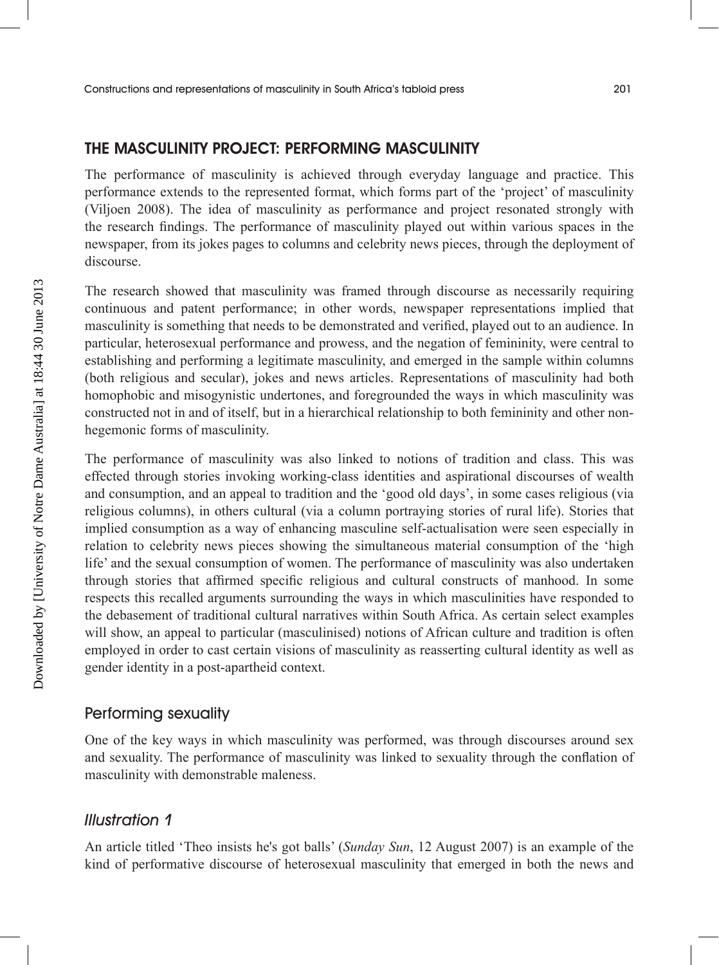#### THE MASCULINITY PROJECT: PERFORMING MASCULINITY

The performance of masculinity is achieved through everyday language and practice. This performance extends to the represented format, which forms part of the 'project' of masculinity (Viljoen 2008). The idea of masculinity as performance and project resonated strongly with the research findings. The performance of masculinity played out within various spaces in the newspaper, from its jokes pages to columns and celebrity news pieces, through the deployment of discourse.

The research showed that masculinity was framed through discourse as necessarily requiring continuous and patent performance; in other words, newspaper representations implied that masculinity is something that needs to be demonstrated and verified, played out to an audience. In particular, heterosexual performance and prowess, and the negation of femininity, were central to establishing and performing a legitimate masculinity, and emerged in the sample within columns (both religious and secular), jokes and news articles. Representations of masculinity had both homophobic and misogynistic undertones, and foregrounded the ways in which masculinity was constructed not in and of itself, but in a hierarchical relationship to both femininity and other nonhegemonic forms of masculinity.

The performance of masculinity was also linked to notions of tradition and class. This was effected through stories invoking working-class identities and aspirational discourses of wealth and consumption, and an appeal to tradition and the 'good old days', in some cases religious (via religious columns), in others cultural (via a column portraying stories of rural life). Stories that implied consumption as a way of enhancing masculine self-actualisation were seen especially in relation to celebrity news pieces showing the simultaneous material consumption of the 'high life' and the sexual consumption of women. The performance of masculinity was also undertaken through stories that affirmed specific religious and cultural constructs of manhood. In some respects this recalled arguments surrounding the ways in which masculinities have responded to the debasement of traditional cultural narratives within South Africa. As certain select examples will show, an appeal to particular (masculinised) notions of African culture and tradition is often employed in order to cast certain visions of masculinity as reasserting cultural identity as well as gender identity in a post-apartheid context.

#### Performing sexuality

One of the key ways in which masculinity was performed, was through discourses around sex and sexuality. The performance of masculinity was linked to sexuality through the conflation of masculinity with demonstrable maleness.

#### Illustration 1

An article titled 'Theo insists he's got balls' (*Sunday Sun*, 12 August 2007) is an example of the kind of performative discourse of heterosexual masculinity that emerged in both the news and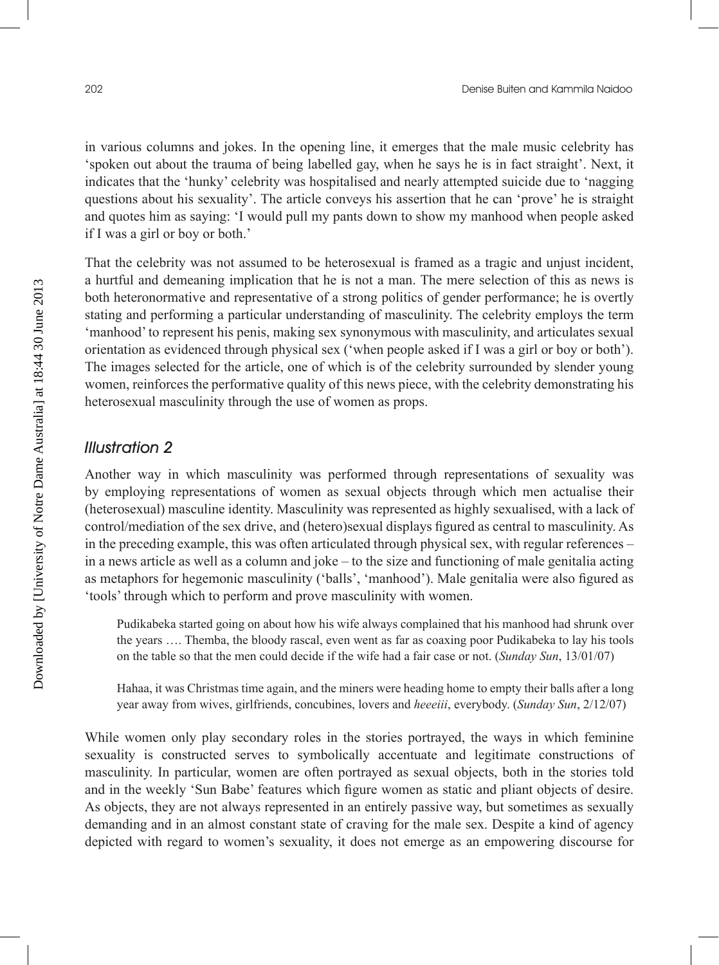in various columns and jokes. In the opening line, it emerges that the male music celebrity has 'spoken out about the trauma of being labelled gay, when he says he is in fact straight'. Next, it indicates that the 'hunky' celebrity was hospitalised and nearly attempted suicide due to 'nagging questions about his sexuality'. The article conveys his assertion that he can 'prove' he is straight and quotes him as saying: 'I would pull my pants down to show my manhood when people asked if I was a girl or boy or both.'

That the celebrity was not assumed to be heterosexual is framed as a tragic and unjust incident, a hurtful and demeaning implication that he is not a man. The mere selection of this as news is both heteronormative and representative of a strong politics of gender performance; he is overtly stating and performing a particular understanding of masculinity. The celebrity employs the term 'manhood' to represent his penis, making sex synonymous with masculinity, and articulates sexual orientation as evidenced through physical sex ('when people asked if I was a girl or boy or both'). The images selected for the article, one of which is of the celebrity surrounded by slender young women, reinforces the performative quality of this news piece, with the celebrity demonstrating his heterosexual masculinity through the use of women as props.

#### Illustration 2

Another way in which masculinity was performed through representations of sexuality was by employing representations of women as sexual objects through which men actualise their (heterosexual) masculine identity. Masculinity was represented as highly sexualised, with a lack of control/mediation of the sex drive, and (hetero)sexual displays figured as central to masculinity. As in the preceding example, this was often articulated through physical sex, with regular references – in a news article as well as a column and joke – to the size and functioning of male genitalia acting as metaphors for hegemonic masculinity ('balls', 'manhood'). Male genitalia were also figured as 'tools' through which to perform and prove masculinity with women.

Pudikabeka started going on about how his wife always complained that his manhood had shrunk over the years …. Themba, the bloody rascal, even went as far as coaxing poor Pudikabeka to lay his tools on the table so that the men could decide if the wife had a fair case or not. (*Sunday Sun*, 13/01/07)

Hahaa, it was Christmas time again, and the miners were heading home to empty their balls after a long year away from wives, girlfriends, concubines, lovers and *heeeiii*, everybody. (*Sunday Sun*, 2/12/07)

While women only play secondary roles in the stories portrayed, the ways in which feminine sexuality is constructed serves to symbolically accentuate and legitimate constructions of masculinity. In particular, women are often portrayed as sexual objects, both in the stories told and in the weekly 'Sun Babe' features which figure women as static and pliant objects of desire. As objects, they are not always represented in an entirely passive way, but sometimes as sexually demanding and in an almost constant state of craving for the male sex. Despite a kind of agency depicted with regard to women's sexuality, it does not emerge as an empowering discourse for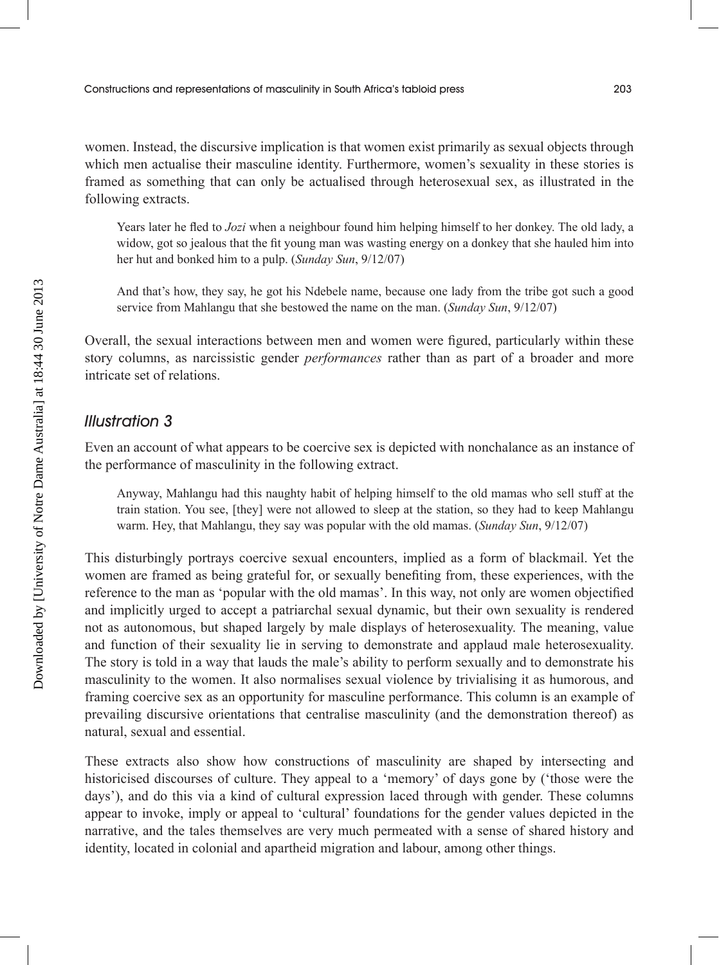women. Instead, the discursive implication is that women exist primarily as sexual objects through which men actualise their masculine identity. Furthermore, women's sexuality in these stories is framed as something that can only be actualised through heterosexual sex, as illustrated in the following extracts.

Years later he fled to *Jozi* when a neighbour found him helping himself to her donkey. The old lady, a widow, got so jealous that the fit young man was wasting energy on a donkey that she hauled him into her hut and bonked him to a pulp. (*Sunday Sun*, 9/12/07)

And that's how, they say, he got his Ndebele name, because one lady from the tribe got such a good service from Mahlangu that she bestowed the name on the man. (*Sunday Sun*, 9/12/07)

Overall, the sexual interactions between men and women were figured, particularly within these story columns, as narcissistic gender *performances* rather than as part of a broader and more intricate set of relations.

#### Illustration 3

Even an account of what appears to be coercive sex is depicted with nonchalance as an instance of the performance of masculinity in the following extract.

Anyway, Mahlangu had this naughty habit of helping himself to the old mamas who sell stuff at the train station. You see, [they] were not allowed to sleep at the station, so they had to keep Mahlangu warm. Hey, that Mahlangu, they say was popular with the old mamas. (*Sunday Sun*, 9/12/07)

This disturbingly portrays coercive sexual encounters, implied as a form of blackmail. Yet the women are framed as being grateful for, or sexually benefiting from, these experiences, with the reference to the man as 'popular with the old mamas'. In this way, not only are women objectified and implicitly urged to accept a patriarchal sexual dynamic, but their own sexuality is rendered not as autonomous, but shaped largely by male displays of heterosexuality. The meaning, value and function of their sexuality lie in serving to demonstrate and applaud male heterosexuality. The story is told in a way that lauds the male's ability to perform sexually and to demonstrate his masculinity to the women. It also normalises sexual violence by trivialising it as humorous, and framing coercive sex as an opportunity for masculine performance. This column is an example of prevailing discursive orientations that centralise masculinity (and the demonstration thereof) as natural, sexual and essential.

These extracts also show how constructions of masculinity are shaped by intersecting and historicised discourses of culture. They appeal to a 'memory' of days gone by ('those were the days'), and do this via a kind of cultural expression laced through with gender. These columns appear to invoke, imply or appeal to 'cultural' foundations for the gender values depicted in the narrative, and the tales themselves are very much permeated with a sense of shared history and identity, located in colonial and apartheid migration and labour, among other things.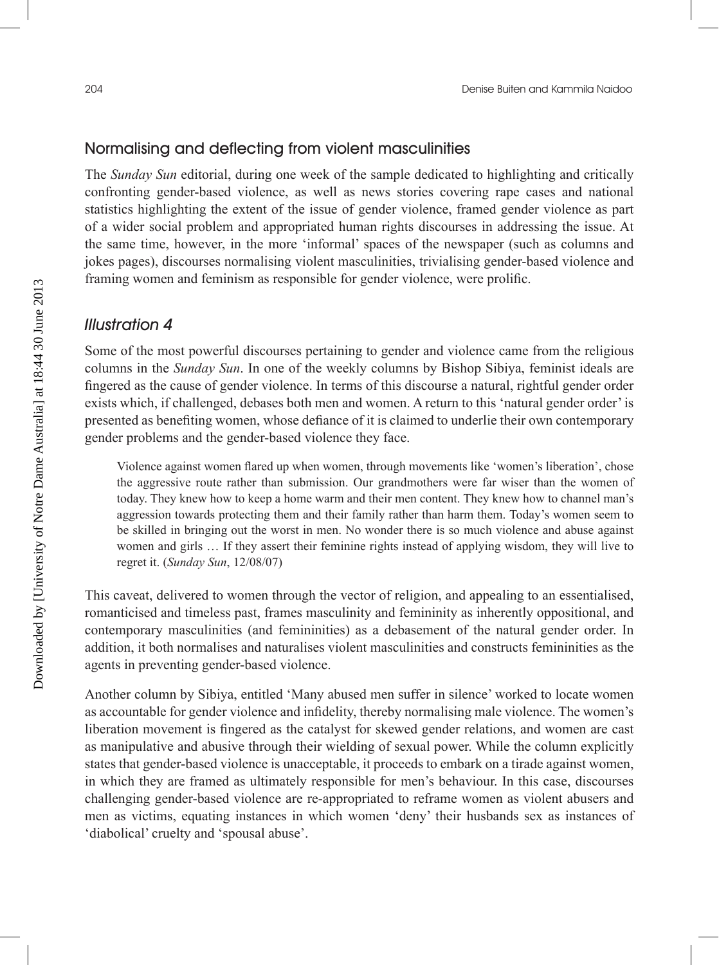#### Normalising and deflecting from violent masculinities

The *Sunday Sun* editorial, during one week of the sample dedicated to highlighting and critically confronting gender-based violence, as well as news stories covering rape cases and national statistics highlighting the extent of the issue of gender violence, framed gender violence as part of a wider social problem and appropriated human rights discourses in addressing the issue. At the same time, however, in the more 'informal' spaces of the newspaper (such as columns and jokes pages), discourses normalising violent masculinities, trivialising gender-based violence and framing women and feminism as responsible for gender violence, were prolific.

#### Illustration 4

Some of the most powerful discourses pertaining to gender and violence came from the religious columns in the *Sunday Sun*. In one of the weekly columns by Bishop Sibiya, feminist ideals are fingered as the cause of gender violence. In terms of this discourse a natural, rightful gender order exists which, if challenged, debases both men and women. A return to this 'natural gender order' is presented as benefiting women, whose defiance of it is claimed to underlie their own contemporary gender problems and the gender-based violence they face.

Violence against women flared up when women, through movements like 'women's liberation', chose the aggressive route rather than submission. Our grandmothers were far wiser than the women of today. They knew how to keep a home warm and their men content. They knew how to channel man's aggression towards protecting them and their family rather than harm them. Today's women seem to be skilled in bringing out the worst in men. No wonder there is so much violence and abuse against women and girls … If they assert their feminine rights instead of applying wisdom, they will live to regret it. (*Sunday Sun*, 12/08/07)

This caveat, delivered to women through the vector of religion, and appealing to an essentialised, romanticised and timeless past, frames masculinity and femininity as inherently oppositional, and contemporary masculinities (and femininities) as a debasement of the natural gender order. In addition, it both normalises and naturalises violent masculinities and constructs femininities as the agents in preventing gender-based violence.

Another column by Sibiya, entitled 'Many abused men suffer in silence' worked to locate women as accountable for gender violence and infidelity, thereby normalising male violence. The women's liberation movement is fingered as the catalyst for skewed gender relations, and women are cast as manipulative and abusive through their wielding of sexual power. While the column explicitly states that gender-based violence is unacceptable, it proceeds to embark on a tirade against women, in which they are framed as ultimately responsible for men's behaviour. In this case, discourses challenging gender-based violence are re-appropriated to reframe women as violent abusers and men as victims, equating instances in which women 'deny' their husbands sex as instances of 'diabolical' cruelty and 'spousal abuse'.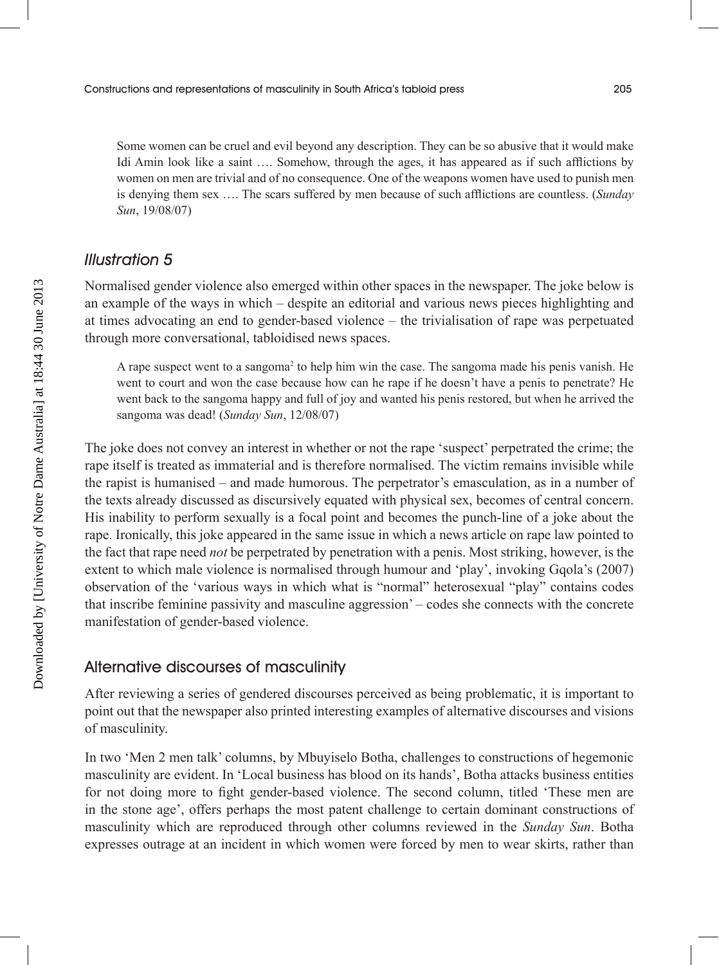Some women can be cruel and evil beyond any description. They can be so abusive that it would make Idi Amin look like a saint …. Somehow, through the ages, it has appeared as if such afflictions by women on men are trivial and of no consequence. One of the weapons women have used to punish men is denying them sex …. The scars suffered by men because of such afflictions are countless. (*Sunday Sun*, 19/08/07)

## Illustration 5

Normalised gender violence also emerged within other spaces in the newspaper. The joke below is an example of the ways in which – despite an editorial and various news pieces highlighting and at times advocating an end to gender-based violence – the trivialisation of rape was perpetuated through more conversational, tabloidised news spaces.

A rape suspect went to a sangoma<sup>2</sup> to help him win the case. The sangoma made his penis vanish. He went to court and won the case because how can he rape if he doesn't have a penis to penetrate? He went back to the sangoma happy and full of joy and wanted his penis restored, but when he arrived the sangoma was dead! (*Sunday Sun*, 12/08/07)

The joke does not convey an interest in whether or not the rape 'suspect' perpetrated the crime; the rape itself is treated as immaterial and is therefore normalised. The victim remains invisible while the rapist is humanised – and made humorous. The perpetrator's emasculation, as in a number of the texts already discussed as discursively equated with physical sex, becomes of central concern. His inability to perform sexually is a focal point and becomes the punch-line of a joke about the rape. Ironically, this joke appeared in the same issue in which a news article on rape law pointed to the fact that rape need *not* be perpetrated by penetration with a penis. Most striking, however, is the extent to which male violence is normalised through humour and 'play', invoking Gqola's (2007) observation of the 'various ways in which what is "normal" heterosexual "play" contains codes that inscribe feminine passivity and masculine aggression' – codes she connects with the concrete manifestation of gender-based violence.

#### Alternative discourses of masculinity

After reviewing a series of gendered discourses perceived as being problematic, it is important to point out that the newspaper also printed interesting examples of alternative discourses and visions of masculinity.

In two 'Men 2 men talk' columns, by Mbuyiselo Botha, challenges to constructions of hegemonic masculinity are evident. In 'Local business has blood on its hands', Botha attacks business entities for not doing more to fight gender-based violence. The second column, titled 'These men are in the stone age', offers perhaps the most patent challenge to certain dominant constructions of masculinity which are reproduced through other columns reviewed in the *Sunday Sun*. Botha expresses outrage at an incident in which women were forced by men to wear skirts, rather than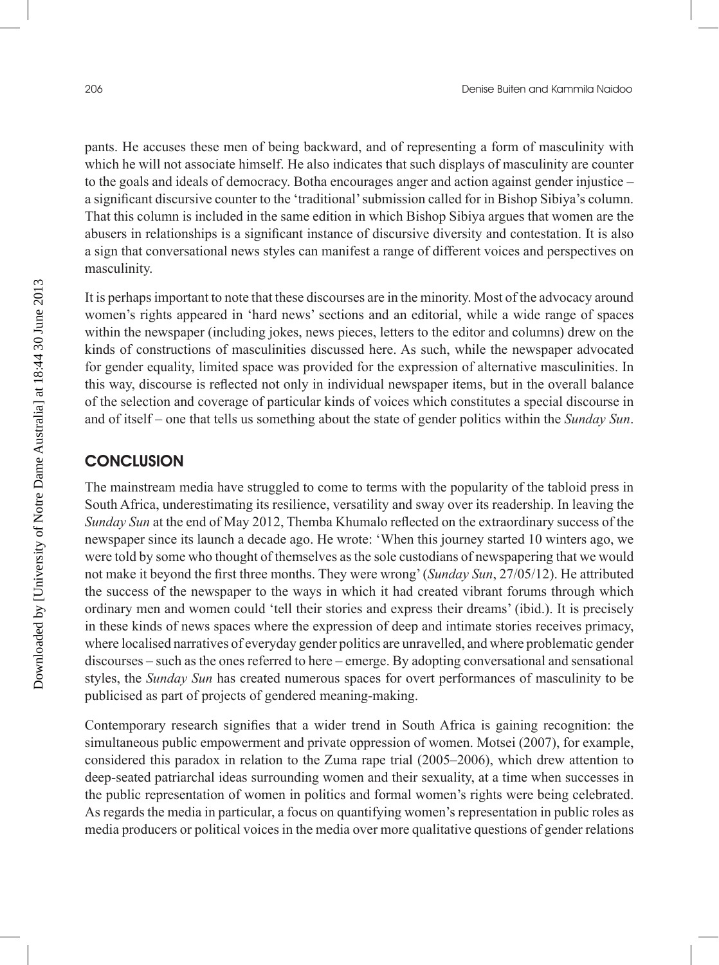pants. He accuses these men of being backward, and of representing a form of masculinity with which he will not associate himself. He also indicates that such displays of masculinity are counter to the goals and ideals of democracy. Botha encourages anger and action against gender injustice – a significant discursive counter to the 'traditional' submission called for in Bishop Sibiya's column. That this column is included in the same edition in which Bishop Sibiya argues that women are the abusers in relationships is a significant instance of discursive diversity and contestation. It is also a sign that conversational news styles can manifest a range of different voices and perspectives on masculinity.

It is perhaps important to note that these discourses are in the minority. Most of the advocacy around women's rights appeared in 'hard news' sections and an editorial, while a wide range of spaces within the newspaper (including jokes, news pieces, letters to the editor and columns) drew on the kinds of constructions of masculinities discussed here. As such, while the newspaper advocated for gender equality, limited space was provided for the expression of alternative masculinities. In this way, discourse is reflected not only in individual newspaper items, but in the overall balance of the selection and coverage of particular kinds of voices which constitutes a special discourse in and of itself – one that tells us something about the state of gender politics within the *Sunday Sun*.

#### **CONCLUSION**

The mainstream media have struggled to come to terms with the popularity of the tabloid press in South Africa, underestimating its resilience, versatility and sway over its readership. In leaving the *Sunday Sun* at the end of May 2012, Themba Khumalo reflected on the extraordinary success of the newspaper since its launch a decade ago. He wrote: 'When this journey started 10 winters ago, we were told by some who thought of themselves as the sole custodians of newspapering that we would not make it beyond the first three months. They were wrong' (*Sunday Sun*, 27/05/12). He attributed the success of the newspaper to the ways in which it had created vibrant forums through which ordinary men and women could 'tell their stories and express their dreams' (ibid.). It is precisely in these kinds of news spaces where the expression of deep and intimate stories receives primacy, where localised narratives of everyday gender politics are unravelled, and where problematic gender discourses – such as the ones referred to here – emerge. By adopting conversational and sensational styles, the *Sunday Sun* has created numerous spaces for overt performances of masculinity to be publicised as part of projects of gendered meaning-making.

Contemporary research signifies that a wider trend in South Africa is gaining recognition: the simultaneous public empowerment and private oppression of women. Motsei (2007), for example, considered this paradox in relation to the Zuma rape trial (2005–2006), which drew attention to deep-seated patriarchal ideas surrounding women and their sexuality, at a time when successes in the public representation of women in politics and formal women's rights were being celebrated. As regards the media in particular, a focus on quantifying women's representation in public roles as media producers or political voices in the media over more qualitative questions of gender relations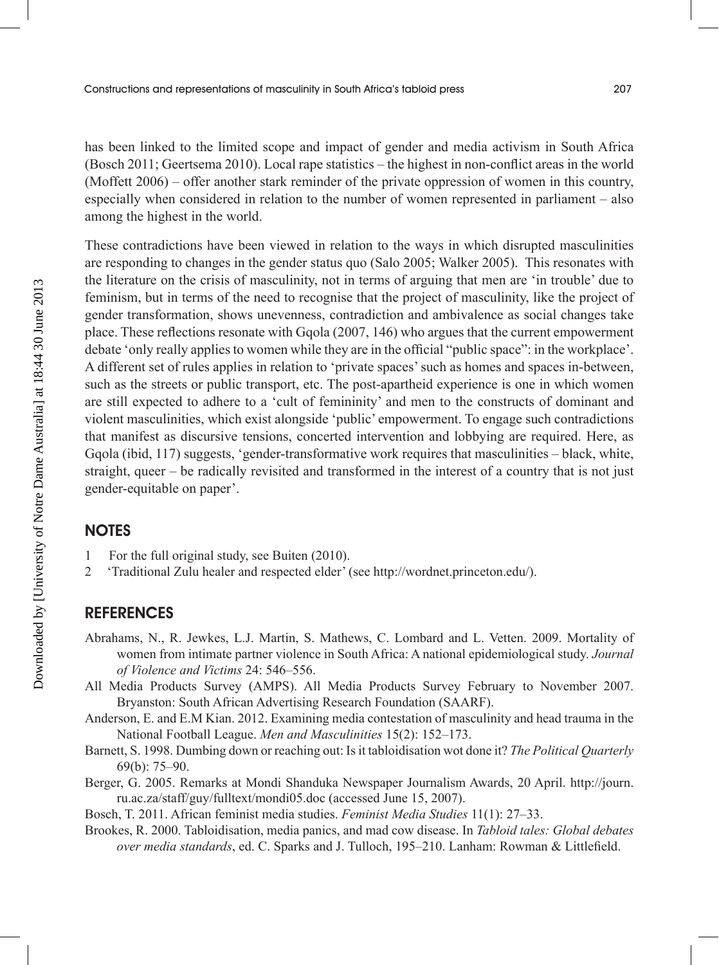has been linked to the limited scope and impact of gender and media activism in South Africa (Bosch 2011; Geertsema 2010). Local rape statistics – the highest in non-conflict areas in the world (Moffett 2006) – offer another stark reminder of the private oppression of women in this country, especially when considered in relation to the number of women represented in parliament – also among the highest in the world.

These contradictions have been viewed in relation to the ways in which disrupted masculinities are responding to changes in the gender status quo (Salo 2005; Walker 2005). This resonates with the literature on the crisis of masculinity, not in terms of arguing that men are 'in trouble' due to feminism, but in terms of the need to recognise that the project of masculinity, like the project of gender transformation, shows unevenness, contradiction and ambivalence as social changes take place. These reflections resonate with Gqola (2007, 146) who argues that the current empowerment debate 'only really applies to women while they are in the official "public space": in the workplace'. A different set of rules applies in relation to 'private spaces' such as homes and spaces in-between, such as the streets or public transport, etc. The post-apartheid experience is one in which women are still expected to adhere to a 'cult of femininity' and men to the constructs of dominant and violent masculinities, which exist alongside 'public' empowerment. To engage such contradictions that manifest as discursive tensions, concerted intervention and lobbying are required. Here, as Gqola (ibid, 117) suggests, 'gender-transformative work requires that masculinities – black, white, straight, queer – be radically revisited and transformed in the interest of a country that is not just gender-equitable on paper'.

#### **NOTES**

- 1 For the full original study, see Buiten (2010).
- 2 'Traditional Zulu healer and respected elder' (see http://wordnet.princeton.edu/).

#### **REFERENCES**

- Abrahams, N., R. Jewkes, L.J. Martin, S. Mathews, C. Lombard and L. Vetten. 2009. Mortality of women from intimate partner violence in South Africa: A national epidemiological study. *Journal of Violence and Victims* 24: 546–556.
- All Media Products Survey (AMPS). All Media Products Survey February to November 2007. Bryanston: South African Advertising Research Foundation (SAARF).
- Anderson, E. and E.M Kian. 2012. Examining media contestation of masculinity and head trauma in the National Football League. *Men and Masculinities* 15(2): 152–173.
- Barnett, S. 1998. Dumbing down or reaching out: Is it tabloidisation wot done it? *The Political Quarterly*  69(b): 75–90.
- Berger, G. 2005. Remarks at Mondi Shanduka Newspaper Journalism Awards, 20 April. http://journ. ru.ac.za/staff/guy/fulltext/mondi05.doc (accessed June 15, 2007).
- Bosch, T. 2011. African feminist media studies. *Feminist Media Studies* 11(1): 27–33.
- Brookes, R. 2000. Tabloidisation, media panics, and mad cow disease. In *Tabloid tales: Global debates over media standards*, ed. C. Sparks and J. Tulloch, 195–210. Lanham: Rowman & Littlefield.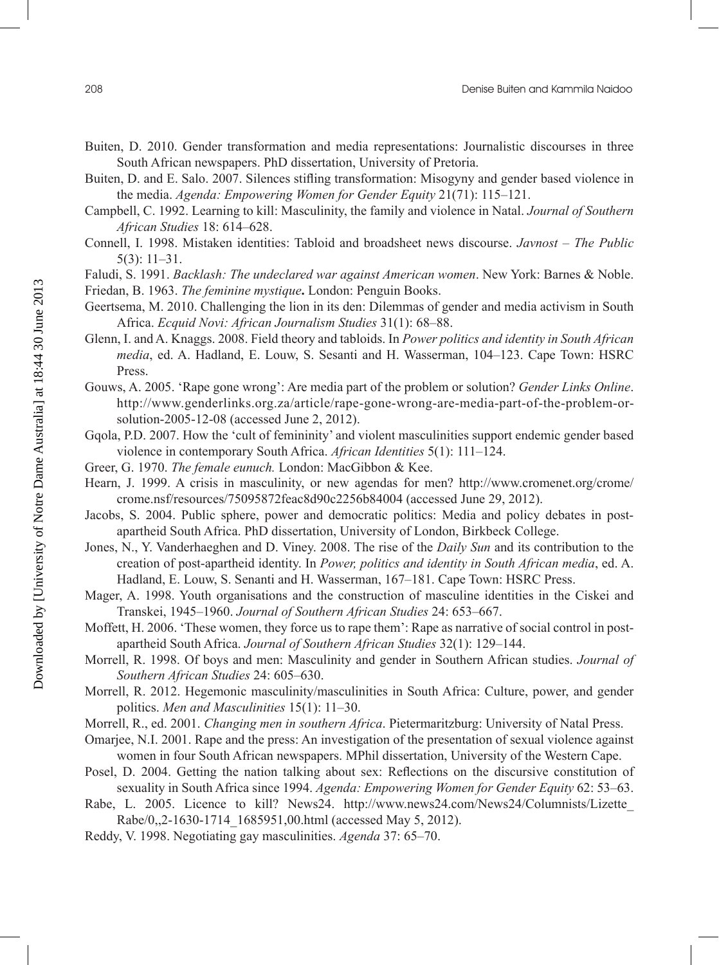- Buiten, D. 2010. Gender transformation and media representations: Journalistic discourses in three South African newspapers. PhD dissertation, University of Pretoria.
- Buiten, D. and E. Salo. 2007. Silences stifling transformation: Misogyny and gender based violence in the media. *Agenda: Empowering Women for Gender Equity* 21(71): 115–121.
- Campbell, C. 1992. Learning to kill: Masculinity, the family and violence in Natal. *Journal of Southern African Studies* 18: 614–628.
- Connell, I. 1998. Mistaken identities: Tabloid and broadsheet news discourse. *Javnost The Public*  5(3): 11–31.
- Faludi, S. 1991. *Backlash: The undeclared war against American women*. New York: Barnes & Noble.
- Friedan, B. 1963. *The feminine mystique***.** London: Penguin Books.
- Geertsema, M. 2010. Challenging the lion in its den: Dilemmas of gender and media activism in South Africa. *Ecquid Novi: African Journalism Studies* 31(1): 68–88.
- Glenn, I. and A. Knaggs. 2008. Field theory and tabloids. In *Power politics and identity in South African media*, ed. A. Hadland, E. Louw, S. Sesanti and H. Wasserman, 104–123. Cape Town: HSRC Press.
- Gouws, A. 2005. 'Rape gone wrong': Are media part of the problem or solution? *Gender Links Online*. http://www.genderlinks.org.za/article/rape-gone-wrong-are-media-part-of-the-problem-orsolution-2005-12-08 (accessed June 2, 2012).
- Gqola, P.D. 2007. How the 'cult of femininity' and violent masculinities support endemic gender based violence in contemporary South Africa. *African Identities* 5(1): 111–124.
- Greer, G. 1970. *The female eunuch.* London: MacGibbon & Kee.
- Hearn, J. 1999. A crisis in masculinity, or new agendas for men? http://www.cromenet.org/crome/ crome.nsf/resources/75095872feac8d90c2256b84004 (accessed June 29, 2012).
- Jacobs, S. 2004. Public sphere, power and democratic politics: Media and policy debates in postapartheid South Africa. PhD dissertation, University of London, Birkbeck College.
- Jones, N., Y. Vanderhaeghen and D. Viney. 2008. The rise of the *Daily Sun* and its contribution to the creation of post-apartheid identity. In *Power, politics and identity in South African media*, ed. A. Hadland, E. Louw, S. Senanti and H. Wasserman, 167–181. Cape Town: HSRC Press.
- Mager, A. 1998. Youth organisations and the construction of masculine identities in the Ciskei and Transkei, 1945–1960. *Journal of Southern African Studies* 24: 653–667.
- Moffett, H. 2006. 'These women, they force us to rape them': Rape as narrative of social control in postapartheid South Africa. *Journal of Southern African Studies* 32(1): 129–144.
- Morrell, R. 1998. Of boys and men: Masculinity and gender in Southern African studies. *Journal of Southern African Studies* 24: 605–630.
- Morrell, R. 2012. Hegemonic masculinity/masculinities in South Africa: Culture, power, and gender politics. *Men and Masculinities* 15(1): 11–30.
- Morrell, R., ed. 2001. *Changing men in southern Africa*. Pietermaritzburg: University of Natal Press.
- Omarjee, N.I. 2001. Rape and the press: An investigation of the presentation of sexual violence against women in four South African newspapers. MPhil dissertation, University of the Western Cape.
- Posel, D. 2004. Getting the nation talking about sex: Reflections on the discursive constitution of sexuality in South Africa since 1994. *Agenda: Empowering Women for Gender Equity* 62: 53–63.
- Rabe, L. 2005. Licence to kill? News24. http://www.news24.com/News24/Columnists/Lizette\_ Rabe/0,,2-1630-1714\_1685951,00.html (accessed May 5, 2012).
- Reddy, V. 1998. Negotiating gay masculinities. *Agenda* 37: 65–70.